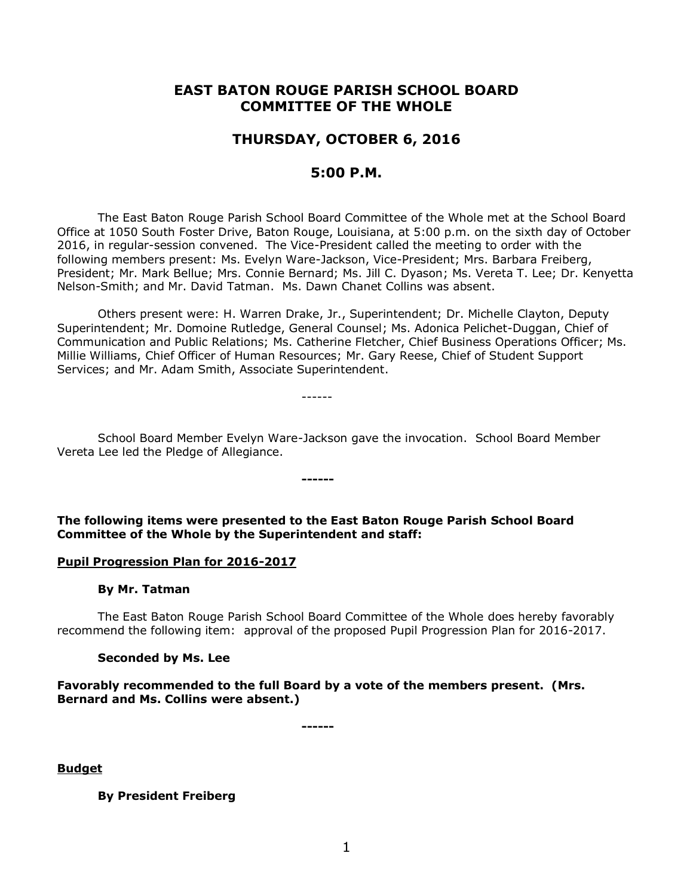# **EAST BATON ROUGE PARISH SCHOOL BOARD COMMITTEE OF THE WHOLE**

## **THURSDAY, OCTOBER 6, 2016**

## **5:00 P.M.**

The East Baton Rouge Parish School Board Committee of the Whole met at the School Board Office at 1050 South Foster Drive, Baton Rouge, Louisiana, at 5:00 p.m. on the sixth day of October 2016, in regular-session convened. The Vice-President called the meeting to order with the following members present: Ms. Evelyn Ware-Jackson, Vice-President; Mrs. Barbara Freiberg, President; Mr. Mark Bellue; Mrs. Connie Bernard; Ms. Jill C. Dyason; Ms. Vereta T. Lee; Dr. Kenyetta Nelson-Smith; and Mr. David Tatman. Ms. Dawn Chanet Collins was absent.

Others present were: H. Warren Drake, Jr., Superintendent; Dr. Michelle Clayton, Deputy Superintendent; Mr. Domoine Rutledge, General Counsel; Ms. Adonica Pelichet-Duggan, Chief of Communication and Public Relations; Ms. Catherine Fletcher, Chief Business Operations Officer; Ms. Millie Williams, Chief Officer of Human Resources; Mr. Gary Reese, Chief of Student Support Services; and Mr. Adam Smith, Associate Superintendent.

------

School Board Member Evelyn Ware-Jackson gave the invocation. School Board Member Vereta Lee led the Pledge of Allegiance.

**The following items were presented to the East Baton Rouge Parish School Board Committee of the Whole by the Superintendent and staff:**

**------**

#### **Pupil Progression Plan for 2016-2017**

#### **By Mr. Tatman**

The East Baton Rouge Parish School Board Committee of the Whole does hereby favorably recommend the following item: approval of the proposed Pupil Progression Plan for 2016-2017.

#### **Seconded by Ms. Lee**

#### **Favorably recommended to the full Board by a vote of the members present. (Mrs. Bernard and Ms. Collins were absent.)**

**------**

**Budget**

**By President Freiberg**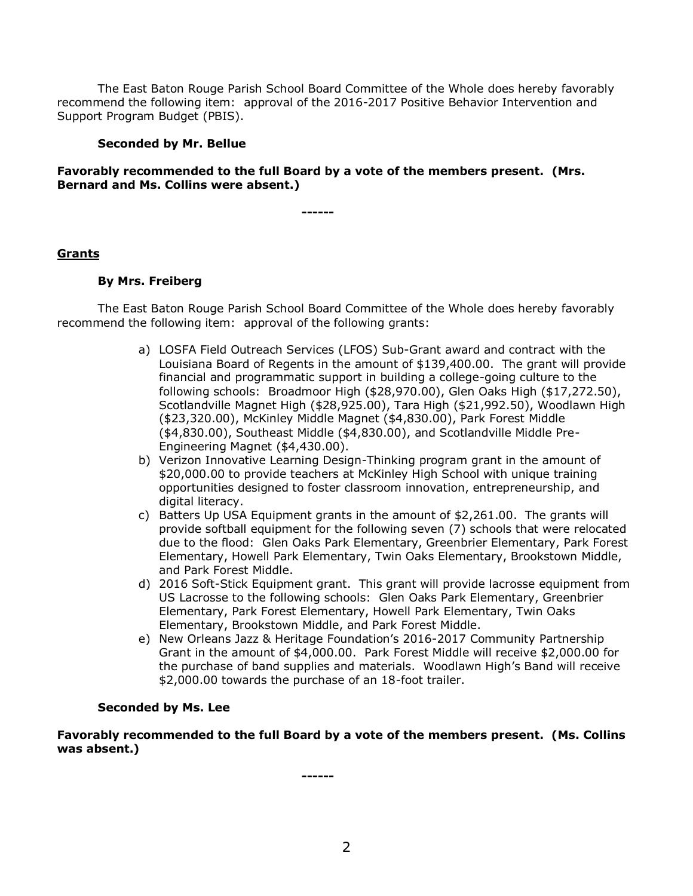The East Baton Rouge Parish School Board Committee of the Whole does hereby favorably recommend the following item: approval of the 2016-2017 Positive Behavior Intervention and Support Program Budget (PBIS).

### **Seconded by Mr. Bellue**

### **Favorably recommended to the full Board by a vote of the members present. (Mrs. Bernard and Ms. Collins were absent.)**

**------**

### **Grants**

### **By Mrs. Freiberg**

The East Baton Rouge Parish School Board Committee of the Whole does hereby favorably recommend the following item: approval of the following grants:

- a) LOSFA Field Outreach Services (LFOS) Sub-Grant award and contract with the Louisiana Board of Regents in the amount of \$139,400.00. The grant will provide financial and programmatic support in building a college-going culture to the following schools: Broadmoor High (\$28,970.00), Glen Oaks High (\$17,272.50), Scotlandville Magnet High (\$28,925.00), Tara High (\$21,992.50), Woodlawn High (\$23,320.00), McKinley Middle Magnet (\$4,830.00), Park Forest Middle (\$4,830.00), Southeast Middle (\$4,830.00), and Scotlandville Middle Pre-Engineering Magnet (\$4,430.00).
- b) Verizon Innovative Learning Design-Thinking program grant in the amount of \$20,000.00 to provide teachers at McKinley High School with unique training opportunities designed to foster classroom innovation, entrepreneurship, and digital literacy.
- c) Batters Up USA Equipment grants in the amount of \$2,261.00. The grants will provide softball equipment for the following seven (7) schools that were relocated due to the flood: Glen Oaks Park Elementary, Greenbrier Elementary, Park Forest Elementary, Howell Park Elementary, Twin Oaks Elementary, Brookstown Middle, and Park Forest Middle.
- d) 2016 Soft-Stick Equipment grant. This grant will provide lacrosse equipment from US Lacrosse to the following schools: Glen Oaks Park Elementary, Greenbrier Elementary, Park Forest Elementary, Howell Park Elementary, Twin Oaks Elementary, Brookstown Middle, and Park Forest Middle.
- e) New Orleans Jazz & Heritage Foundation's 2016-2017 Community Partnership Grant in the amount of \$4,000.00. Park Forest Middle will receive \$2,000.00 for the purchase of band supplies and materials. Woodlawn High's Band will receive \$2,000.00 towards the purchase of an 18-foot trailer.

#### **Seconded by Ms. Lee**

**Favorably recommended to the full Board by a vote of the members present. (Ms. Collins was absent.)**

**------**